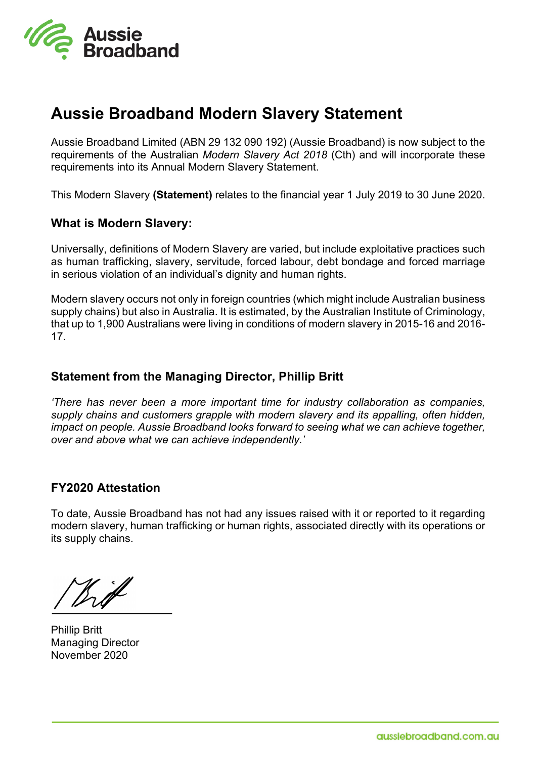

## **Aussie Broadband Modern Slavery Statement**

Aussie Broadband Limited (ABN 29 132 090 192) (Aussie Broadband) is now subject to the requirements of the Australian *Modern Slavery Act 2018* (Cth) and will incorporate these requirements into its Annual Modern Slavery Statement.

This Modern Slavery **(Statement)** relates to the financial year 1 July 2019 to 30 June 2020.

### **What is Modern Slavery:**

Universally, definitions of Modern Slavery are varied, but include exploitative practices such as human trafficking, slavery, servitude, forced labour, debt bondage and forced marriage in serious violation of an individual's dignity and human rights.

Modern slavery occurs not only in foreign countries (which might include Australian business supply chains) but also in Australia. It is estimated, by the Australian Institute of Criminology, that up to 1,900 Australians were living in conditions of modern slavery in 2015-16 and 2016- 17.

## **Statement from the Managing Director, Phillip Britt**

*'There has never been a more important time for industry collaboration as companies, supply chains and customers grapple with modern slavery and its appalling, often hidden, impact on people. Aussie Broadband looks forward to seeing what we can achieve together, over and above what we can achieve independently.'*

## **FY2020 Attestation**

To date, Aussie Broadband has not had any issues raised with it or reported to it regarding modern slavery, human trafficking or human rights, associated directly with its operations or its supply chains.

With

Phillip Britt Managing Director November 2020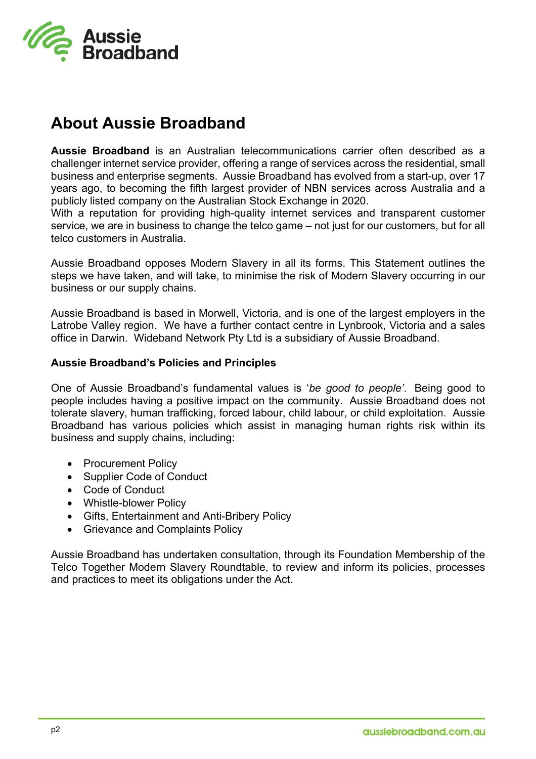

# **About Aussie Broadband**

**Aussie Broadband** is an Australian telecommunications carrier often described as a challenger internet service provider, offering a range of services across the residential, small business and enterprise segments. Aussie Broadband has evolved from a start-up, over 17 years ago, to becoming the fifth largest provider of NBN services across Australia and a publicly listed company on the Australian Stock Exchange in 2020.

With a reputation for providing high-quality internet services and transparent customer service, we are in business to change the telco game – not just for our customers, but for all telco customers in Australia.

Aussie Broadband opposes Modern Slavery in all its forms. This Statement outlines the steps we have taken, and will take, to minimise the risk of Modern Slavery occurring in our business or our supply chains.

Aussie Broadband is based in Morwell, Victoria, and is one of the largest employers in the Latrobe Valley region. We have a further contact centre in Lynbrook, Victoria and a sales office in Darwin. Wideband Network Pty Ltd is a subsidiary of Aussie Broadband.

#### **Aussie Broadband's Policies and Principles**

One of Aussie Broadband's fundamental values is '*be good to people'*. Being good to people includes having a positive impact on the community. Aussie Broadband does not tolerate slavery, human trafficking, forced labour, child labour, or child exploitation. Aussie Broadband has various policies which assist in managing human rights risk within its business and supply chains, including:

- Procurement Policy
- Supplier Code of Conduct
- Code of Conduct
- Whistle-blower Policy
- Gifts, Entertainment and Anti-Bribery Policy
- Grievance and Complaints Policy

Aussie Broadband has undertaken consultation, through its Foundation Membership of the Telco Together Modern Slavery Roundtable, to review and inform its policies, processes and practices to meet its obligations under the Act.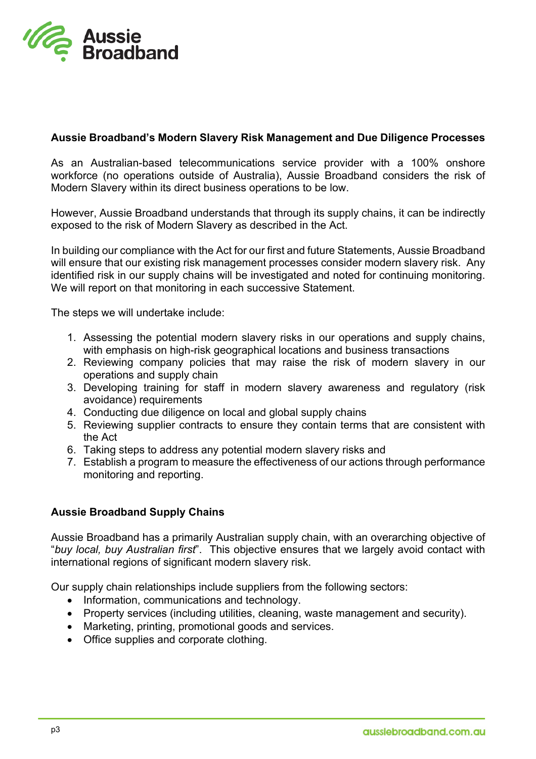

### **Aussie Broadband's Modern Slavery Risk Management and Due Diligence Processes**

As an Australian-based telecommunications service provider with a 100% onshore workforce (no operations outside of Australia), Aussie Broadband considers the risk of Modern Slavery within its direct business operations to be low.

However, Aussie Broadband understands that through its supply chains, it can be indirectly exposed to the risk of Modern Slavery as described in the Act.

In building our compliance with the Act for our first and future Statements, Aussie Broadband will ensure that our existing risk management processes consider modern slavery risk. Any identified risk in our supply chains will be investigated and noted for continuing monitoring. We will report on that monitoring in each successive Statement.

The steps we will undertake include:

- 1. Assessing the potential modern slavery risks in our operations and supply chains, with emphasis on high-risk geographical locations and business transactions
- 2. Reviewing company policies that may raise the risk of modern slavery in our operations and supply chain
- 3. Developing training for staff in modern slavery awareness and regulatory (risk avoidance) requirements
- 4. Conducting due diligence on local and global supply chains
- 5. Reviewing supplier contracts to ensure they contain terms that are consistent with the Act
- 6. Taking steps to address any potential modern slavery risks and
- 7. Establish a program to measure the effectiveness of our actions through performance monitoring and reporting.

#### **Aussie Broadband Supply Chains**

Aussie Broadband has a primarily Australian supply chain, with an overarching objective of "*buy local, buy Australian first*". This objective ensures that we largely avoid contact with international regions of significant modern slavery risk.

Our supply chain relationships include suppliers from the following sectors:

- Information, communications and technology.
- Property services (including utilities, cleaning, waste management and security).
- Marketing, printing, promotional goods and services.
- Office supplies and corporate clothing.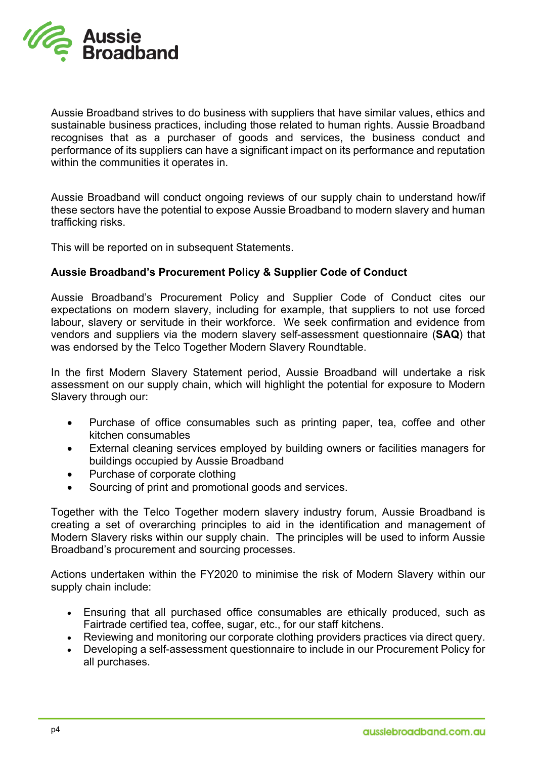

Aussie Broadband strives to do business with suppliers that have similar values, ethics and sustainable business practices, including those related to human rights. Aussie Broadband recognises that as a purchaser of goods and services, the business conduct and performance of its suppliers can have a significant impact on its performance and reputation within the communities it operates in.

Aussie Broadband will conduct ongoing reviews of our supply chain to understand how/if these sectors have the potential to expose Aussie Broadband to modern slavery and human trafficking risks.

This will be reported on in subsequent Statements.

#### **Aussie Broadband's Procurement Policy & Supplier Code of Conduct**

Aussie Broadband's Procurement Policy and Supplier Code of Conduct cites our expectations on modern slavery, including for example, that suppliers to not use forced labour, slavery or servitude in their workforce. We seek confirmation and evidence from vendors and suppliers via the modern slavery self-assessment questionnaire (**SAQ**) that was endorsed by the Telco Together Modern Slavery Roundtable.

In the first Modern Slavery Statement period, Aussie Broadband will undertake a risk assessment on our supply chain, which will highlight the potential for exposure to Modern Slavery through our:

- Purchase of office consumables such as printing paper, tea, coffee and other kitchen consumables
- External cleaning services employed by building owners or facilities managers for buildings occupied by Aussie Broadband
- Purchase of corporate clothing
- Sourcing of print and promotional goods and services.

Together with the Telco Together modern slavery industry forum, Aussie Broadband is creating a set of overarching principles to aid in the identification and management of Modern Slavery risks within our supply chain. The principles will be used to inform Aussie Broadband's procurement and sourcing processes.

Actions undertaken within the FY2020 to minimise the risk of Modern Slavery within our supply chain include:

- Ensuring that all purchased office consumables are ethically produced, such as Fairtrade certified tea, coffee, sugar, etc., for our staff kitchens.
- Reviewing and monitoring our corporate clothing providers practices via direct query.
- Developing a self-assessment questionnaire to include in our Procurement Policy for all purchases.